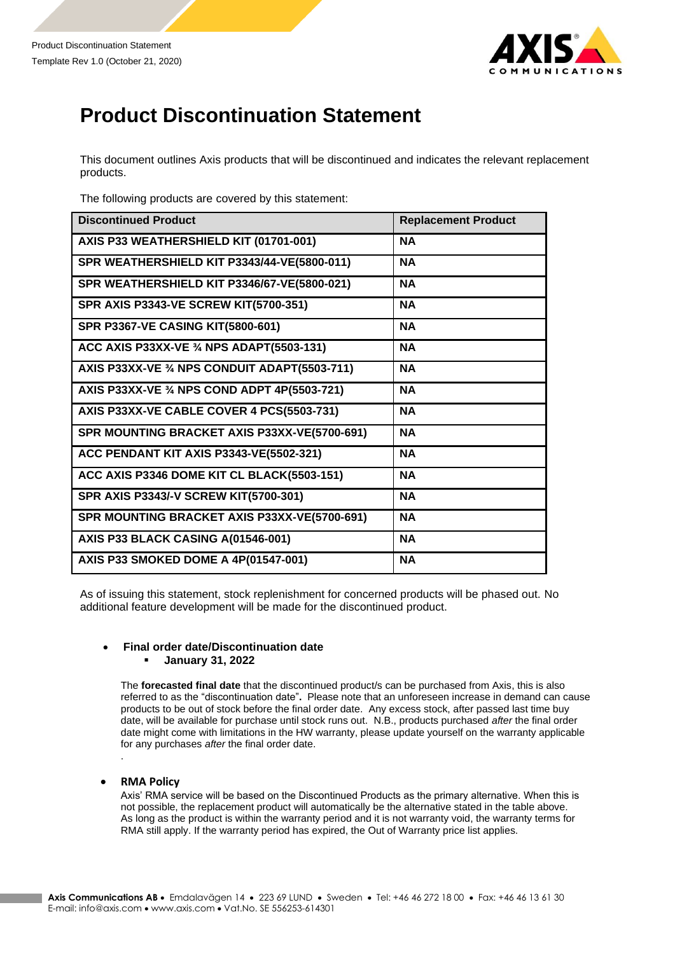

## **Product Discontinuation Statement**

This document outlines Axis products that will be discontinued and indicates the relevant replacement products.

The following products are covered by this statement:

| <b>Discontinued Product</b>                   | <b>Replacement Product</b> |
|-----------------------------------------------|----------------------------|
| AXIS P33 WEATHERSHIELD KIT (01701-001)        | <b>NA</b>                  |
| SPR WEATHERSHIELD KIT P3343/44-VE(5800-011)   | <b>NA</b>                  |
| SPR WEATHERSHIELD KIT P3346/67-VE(5800-021)   | <b>NA</b>                  |
| <b>SPR AXIS P3343-VE SCREW KIT(5700-351)</b>  | <b>NA</b>                  |
| <b>SPR P3367-VE CASING KIT(5800-601)</b>      | <b>NA</b>                  |
| ACC AXIS P33XX-VE 3/4 NPS ADAPT(5503-131)     | <b>NA</b>                  |
| AXIS P33XX-VE 3/4 NPS CONDUIT ADAPT(5503-711) | <b>NA</b>                  |
| AXIS P33XX-VE 3⁄4 NPS COND ADPT 4P(5503-721)  | <b>NA</b>                  |
| AXIS P33XX-VE CABLE COVER 4 PCS(5503-731)     | <b>NA</b>                  |
| SPR MOUNTING BRACKET AXIS P33XX-VE(5700-691)  | <b>NA</b>                  |
| ACC PENDANT KIT AXIS P3343-VE(5502-321)       | <b>NA</b>                  |
| ACC AXIS P3346 DOME KIT CL BLACK(5503-151)    | <b>NA</b>                  |
| SPR AXIS P3343/-V SCREW KIT(5700-301)         | <b>NA</b>                  |
| SPR MOUNTING BRACKET AXIS P33XX-VE(5700-691)  | <b>NA</b>                  |
| AXIS P33 BLACK CASING A(01546-001)            | <b>NA</b>                  |
| AXIS P33 SMOKED DOME A 4P(01547-001)          | <b>NA</b>                  |

As of issuing this statement, stock replenishment for concerned products will be phased out. No additional feature development will be made for the discontinued product.

## • **Final order date/Discontinuation date**

## ▪ **January 31, 2022**

The **forecasted final date** that the discontinued product/s can be purchased from Axis, this is also referred to as the "discontinuation date"**.** Please note that an unforeseen increase in demand can cause products to be out of stock before the final order date. Any excess stock, after passed last time buy date, will be available for purchase until stock runs out. N.B., products purchased *after* the final order date might come with limitations in the HW warranty, please update yourself on the warranty applicable for any purchases *after* the final order date. .

## • **RMA Policy**

Axis' RMA service will be based on the Discontinued Products as the primary alternative. When this is not possible, the replacement product will automatically be the alternative stated in the table above. As long as the product is within the warranty period and it is not warranty void, the warranty terms for RMA still apply. If the warranty period has expired, the Out of Warranty price list applies.